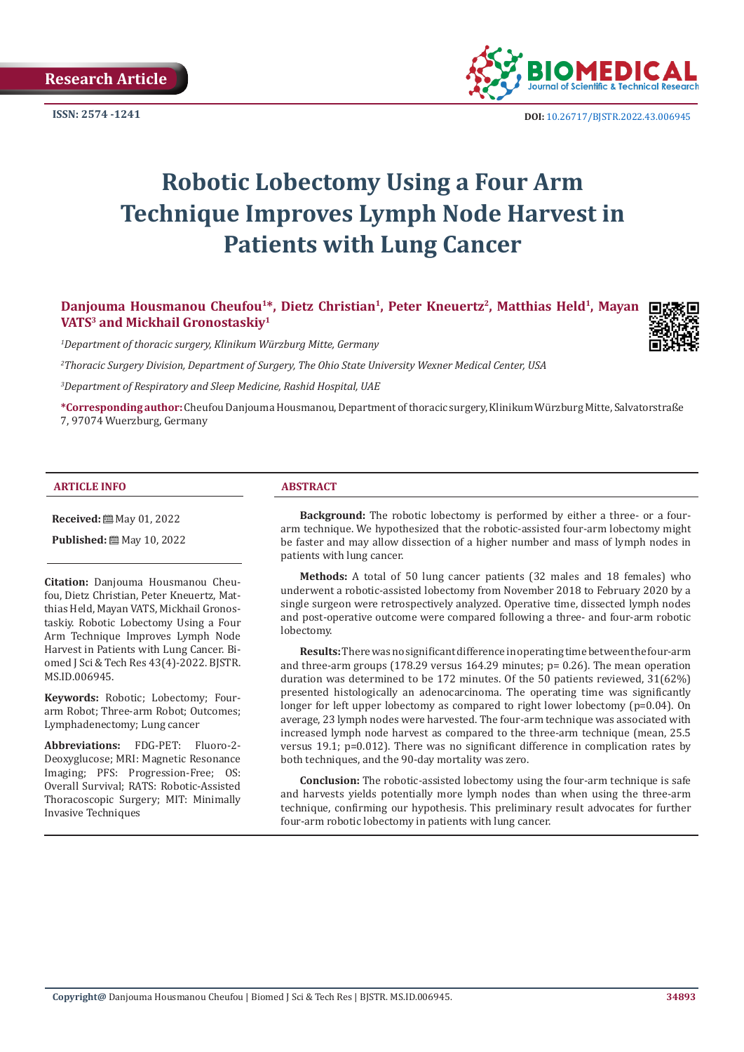

**ISSN:** 2574 -1241 **DOI:** [10.26717/BJSTR.2022.43.006945](https://dx.doi.org/10.26717/BJSTR.2022.43.006945)

# **Robotic Lobectomy Using a Four Arm Technique Improves Lymph Node Harvest in Patients with Lung Cancer**

Danjouma Housmanou Cheufou<sup>1\*</sup>, Dietz Christian<sup>1</sup>, Peter Kneuertz<sup>2</sup>, Matthias Held<sup>1</sup>, Mayan **VATS3 and Mickhail Gronostaskiy1**



*1 Department of thoracic surgery, Klinikum Würzburg Mitte, Germany*

*2 Thoracic Surgery Division, Department of Surgery, The Ohio State University Wexner Medical Center, USA*

*3 Department of Respiratory and Sleep Medicine, Rashid Hospital, UAE*

**\*Corresponding author:** Cheufou Danjouma Housmanou, Department of thoracic surgery, Klinikum Würzburg Mitte, Salvatorstraße 7, 97074 Wuerzburg, Germany

#### **ARTICLE INFO ABSTRACT**

**Received:** May 01, 2022

**Published:** ■ May 10, 2022

**Citation:** Danjouma Housmanou Cheufou, Dietz Christian, Peter Kneuertz, Matthias Held, Mayan VATS, Mickhail Gronostaskiy. Robotic Lobectomy Using a Four Arm Technique Improves Lymph Node Harvest in Patients with Lung Cancer. Biomed J Sci & Tech Res 43(4)-2022. BJSTR. MS.ID.006945.

**Keywords:** Robotic; Lobectomy; Fourarm Robot; Three-arm Robot; Outcomes; Lymphadenectomy; Lung cancer

**Abbreviations:** FDG-PET: Fluoro-2- Deoxyglucose; MRI: Magnetic Resonance Imaging; PFS: Progression-Free; OS: Overall Survival; RATS: Robotic-Assisted Thoracoscopic Surgery; MIT: Minimally Invasive Techniques

**Background:** The robotic lobectomy is performed by either a three- or a fourarm technique. We hypothesized that the robotic-assisted four-arm lobectomy might be faster and may allow dissection of a higher number and mass of lymph nodes in patients with lung cancer.

**Methods:** A total of 50 lung cancer patients (32 males and 18 females) who underwent a robotic-assisted lobectomy from November 2018 to February 2020 by a single surgeon were retrospectively analyzed. Operative time, dissected lymph nodes and post-operative outcome were compared following a three- and four-arm robotic lobectomy.

**Results:** There was no significant difference in operating time between the four-arm and three-arm groups (178.29 versus 164.29 minutes;  $p = 0.26$ ). The mean operation duration was determined to be 172 minutes. Of the 50 patients reviewed, 31(62%) presented histologically an adenocarcinoma. The operating time was significantly longer for left upper lobectomy as compared to right lower lobectomy (p=0.04). On average, 23 lymph nodes were harvested. The four-arm technique was associated with increased lymph node harvest as compared to the three-arm technique (mean, 25.5 versus 19.1; p=0.012). There was no significant difference in complication rates by both techniques, and the 90-day mortality was zero.

**Conclusion:** The robotic-assisted lobectomy using the four-arm technique is safe and harvests yields potentially more lymph nodes than when using the three-arm technique, confirming our hypothesis. This preliminary result advocates for further four-arm robotic lobectomy in patients with lung cancer.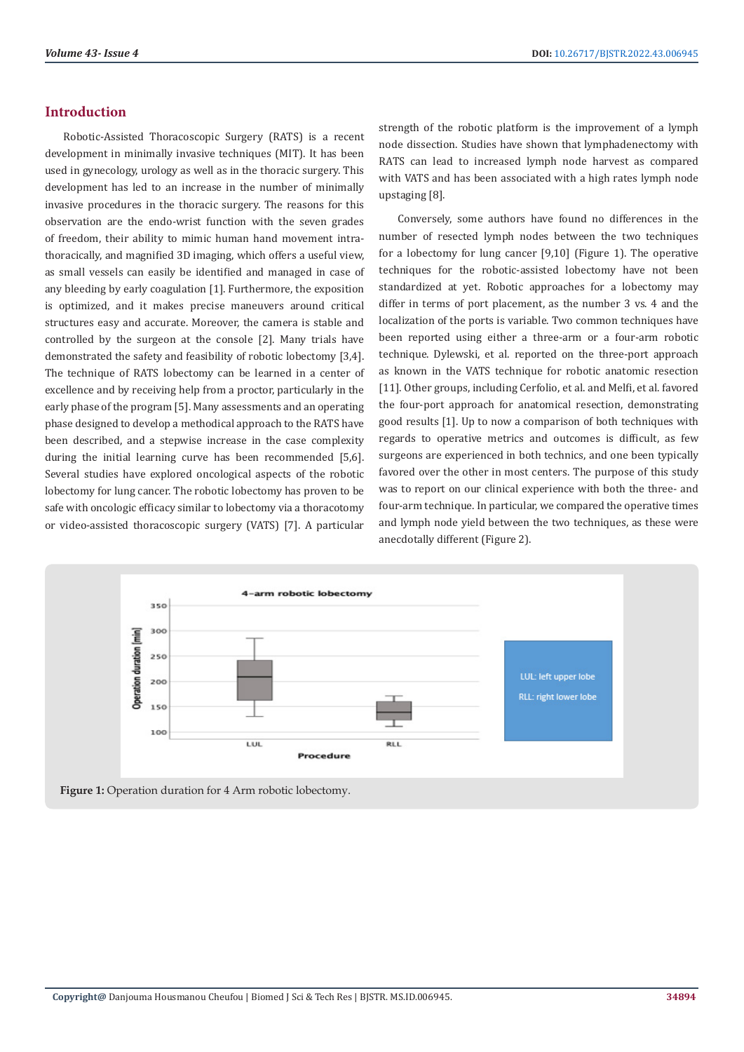# **Introduction**

Robotic-Assisted Thoracoscopic Surgery (RATS) is a recent development in minimally invasive techniques (MIT). It has been used in gynecology, urology as well as in the thoracic surgery. This development has led to an increase in the number of minimally invasive procedures in the thoracic surgery. The reasons for this observation are the endo-wrist function with the seven grades of freedom, their ability to mimic human hand movement intrathoracically, and magnified 3D imaging, which offers a useful view, as small vessels can easily be identified and managed in case of any bleeding by early coagulation [1]. Furthermore, the exposition is optimized, and it makes precise maneuvers around critical structures easy and accurate. Moreover, the camera is stable and controlled by the surgeon at the console [2]. Many trials have demonstrated the safety and feasibility of robotic lobectomy [3,4]. The technique of RATS lobectomy can be learned in a center of excellence and by receiving help from a proctor, particularly in the early phase of the program [5]. Many assessments and an operating phase designed to develop a methodical approach to the RATS have been described, and a stepwise increase in the case complexity during the initial learning curve has been recommended [5,6]. Several studies have explored oncological aspects of the robotic lobectomy for lung cancer. The robotic lobectomy has proven to be safe with oncologic efficacy similar to lobectomy via a thoracotomy or video-assisted thoracoscopic surgery (VATS) [7]. A particular strength of the robotic platform is the improvement of a lymph node dissection. Studies have shown that lymphadenectomy with RATS can lead to increased lymph node harvest as compared with VATS and has been associated with a high rates lymph node upstaging [8].

Conversely, some authors have found no differences in the number of resected lymph nodes between the two techniques for a lobectomy for lung cancer [9,10] (Figure 1). The operative techniques for the robotic-assisted lobectomy have not been standardized at yet. Robotic approaches for a lobectomy may differ in terms of port placement, as the number 3 vs. 4 and the localization of the ports is variable. Two common techniques have been reported using either a three-arm or a four-arm robotic technique. Dylewski, et al. reported on the three-port approach as known in the VATS technique for robotic anatomic resection [11]. Other groups, including Cerfolio, et al. and Melfi, et al. favored the four-port approach for anatomical resection, demonstrating good results [1]. Up to now a comparison of both techniques with regards to operative metrics and outcomes is difficult, as few surgeons are experienced in both technics, and one been typically favored over the other in most centers. The purpose of this study was to report on our clinical experience with both the three- and four-arm technique. In particular, we compared the operative times and lymph node yield between the two techniques, as these were anecdotally different (Figure 2).



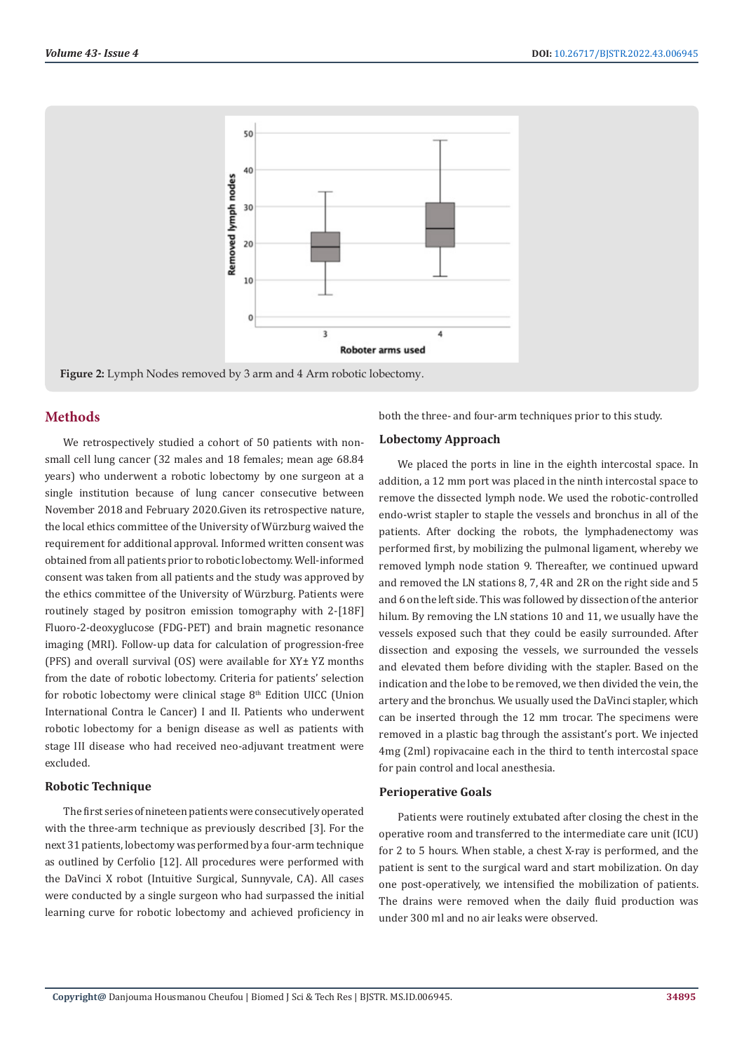

**Figure 2:** Lymph Nodes removed by 3 arm and 4 Arm robotic lobectomy.

# **Methods**

We retrospectively studied a cohort of 50 patients with nonsmall cell lung cancer (32 males and 18 females; mean age 68.84 years) who underwent a robotic lobectomy by one surgeon at a single institution because of lung cancer consecutive between November 2018 and February 2020.Given its retrospective nature, the local ethics committee of the University of Würzburg waived the requirement for additional approval. Informed written consent was obtained from all patients prior to robotic lobectomy. Well-informed consent was taken from all patients and the study was approved by the ethics committee of the University of Würzburg. Patients were routinely staged by positron emission tomography with 2-[18F] Fluoro-2-deoxyglucose (FDG-PET) and brain magnetic resonance imaging (MRI). Follow-up data for calculation of progression-free (PFS) and overall survival (OS) were available for XY± YZ months from the date of robotic lobectomy. Criteria for patients' selection for robotic lobectomy were clinical stage  $8<sup>th</sup>$  Edition UICC (Union International Contra le Cancer) I and II. Patients who underwent robotic lobectomy for a benign disease as well as patients with stage III disease who had received neo-adjuvant treatment were excluded.

# **Robotic Technique**

The first series of nineteen patients were consecutively operated with the three-arm technique as previously described [3]. For the next 31 patients, lobectomy was performed by a four-arm technique as outlined by Cerfolio [12]. All procedures were performed with the DaVinci X robot (Intuitive Surgical, Sunnyvale, CA). All cases were conducted by a single surgeon who had surpassed the initial learning curve for robotic lobectomy and achieved proficiency in

both the three- and four-arm techniques prior to this study.

#### **Lobectomy Approach**

We placed the ports in line in the eighth intercostal space. In addition, a 12 mm port was placed in the ninth intercostal space to remove the dissected lymph node. We used the robotic-controlled endo-wrist stapler to staple the vessels and bronchus in all of the patients. After docking the robots, the lymphadenectomy was performed first, by mobilizing the pulmonal ligament, whereby we removed lymph node station 9. Thereafter, we continued upward and removed the LN stations 8, 7, 4R and 2R on the right side and 5 and 6 on the left side. This was followed by dissection of the anterior hilum. By removing the LN stations 10 and 11, we usually have the vessels exposed such that they could be easily surrounded. After dissection and exposing the vessels, we surrounded the vessels and elevated them before dividing with the stapler. Based on the indication and the lobe to be removed, we then divided the vein, the artery and the bronchus. We usually used the DaVinci stapler, which can be inserted through the 12 mm trocar. The specimens were removed in a plastic bag through the assistant's port. We injected 4mg (2ml) ropivacaine each in the third to tenth intercostal space for pain control and local anesthesia.

#### **Perioperative Goals**

Patients were routinely extubated after closing the chest in the operative room and transferred to the intermediate care unit (ICU) for 2 to 5 hours. When stable, a chest X-ray is performed, and the patient is sent to the surgical ward and start mobilization. On day one post-operatively, we intensified the mobilization of patients. The drains were removed when the daily fluid production was under 300 ml and no air leaks were observed.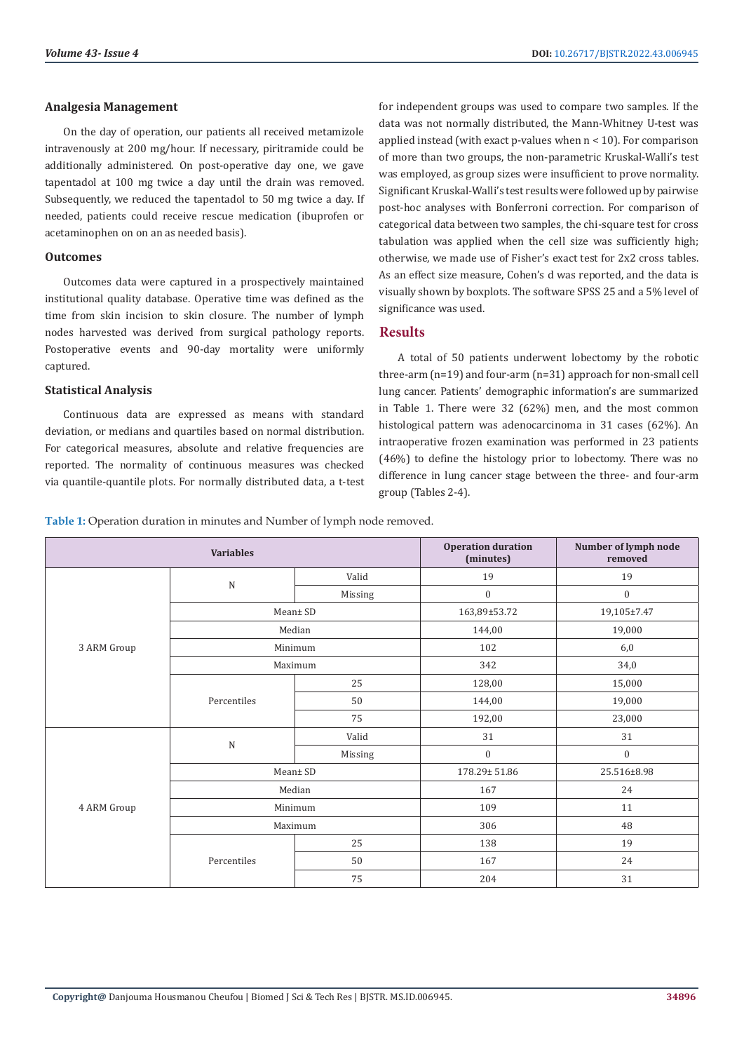#### **Analgesia Management**

On the day of operation, our patients all received metamizole intravenously at 200 mg/hour. If necessary, piritramide could be additionally administered. On post-operative day one, we gave tapentadol at 100 mg twice a day until the drain was removed. Subsequently, we reduced the tapentadol to 50 mg twice a day. If needed, patients could receive rescue medication (ibuprofen or acetaminophen on on an as needed basis).

#### **Outcomes**

Outcomes data were captured in a prospectively maintained institutional quality database. Operative time was defined as the time from skin incision to skin closure. The number of lymph nodes harvested was derived from surgical pathology reports. Postoperative events and 90-day mortality were uniformly captured.

#### **Statistical Analysis**

Continuous data are expressed as means with standard deviation, or medians and quartiles based on normal distribution. For categorical measures, absolute and relative frequencies are reported. The normality of continuous measures was checked via quantile-quantile plots. For normally distributed data, a t-test for independent groups was used to compare two samples. If the data was not normally distributed, the Mann-Whitney U-test was applied instead (with exact p-values when  $n < 10$ ). For comparison of more than two groups, the non-parametric Kruskal-Walli's test was employed, as group sizes were insufficient to prove normality. Significant Kruskal-Walli's test results were followed up by pairwise post-hoc analyses with Bonferroni correction. For comparison of categorical data between two samples, the chi-square test for cross tabulation was applied when the cell size was sufficiently high; otherwise, we made use of Fisher's exact test for 2x2 cross tables. As an effect size measure, Cohen's d was reported, and the data is visually shown by boxplots. The software SPSS 25 and a 5% level of significance was used.

# **Results**

A total of 50 patients underwent lobectomy by the robotic three-arm (n=19) and four-arm (n=31) approach for non-small cell lung cancer. Patients' demographic information's are summarized in Table 1. There were 32 (62%) men, and the most common histological pattern was adenocarcinoma in 31 cases (62%). An intraoperative frozen examination was performed in 23 patients (46%) to define the histology prior to lobectomy. There was no difference in lung cancer stage between the three- and four-arm group (Tables 2-4).

**Table 1:** Operation duration in minutes and Number of lymph node removed.

|             | <b>Variables</b> |          | <b>Operation duration</b><br>(minutes)                                   | Number of lymph node<br>removed |
|-------------|------------------|----------|--------------------------------------------------------------------------|---------------------------------|
| 3 ARM Group | $\mathbf N$      | Valid    | 19                                                                       | 19                              |
|             |                  | Missing  | $\boldsymbol{0}$                                                         | $\boldsymbol{0}$                |
|             | Mean± SD         |          | 163,89±53.72                                                             | 19,105±7.47                     |
|             | Median           |          | 144,00                                                                   | 19,000                          |
|             | Minimum          |          | 102                                                                      | 6,0                             |
|             | Maximum          |          | 342                                                                      | 34,0                            |
|             | Percentiles      | 25       | 128,00                                                                   | 15,000                          |
|             |                  | 50       | 144,00                                                                   | 19,000                          |
|             |                  | 75       | 192,00                                                                   | 23,000                          |
|             | $\mathbf N$      | Valid    | 31                                                                       | 31                              |
|             |                  | Missing  | $\boldsymbol{0}$                                                         | $\boldsymbol{0}$                |
|             |                  | Mean± SD | 178.29±51.86<br>167<br>109<br>306<br>25<br>138<br>50<br>167<br>75<br>204 | 25.516±8.98                     |
| 4 ARM Group | Median           |          |                                                                          | 24                              |
|             | Minimum          |          |                                                                          | 11                              |
|             | Maximum          |          |                                                                          | 48                              |
|             | Percentiles      |          |                                                                          | 19                              |
|             |                  |          |                                                                          | 24                              |
|             |                  |          |                                                                          | 31                              |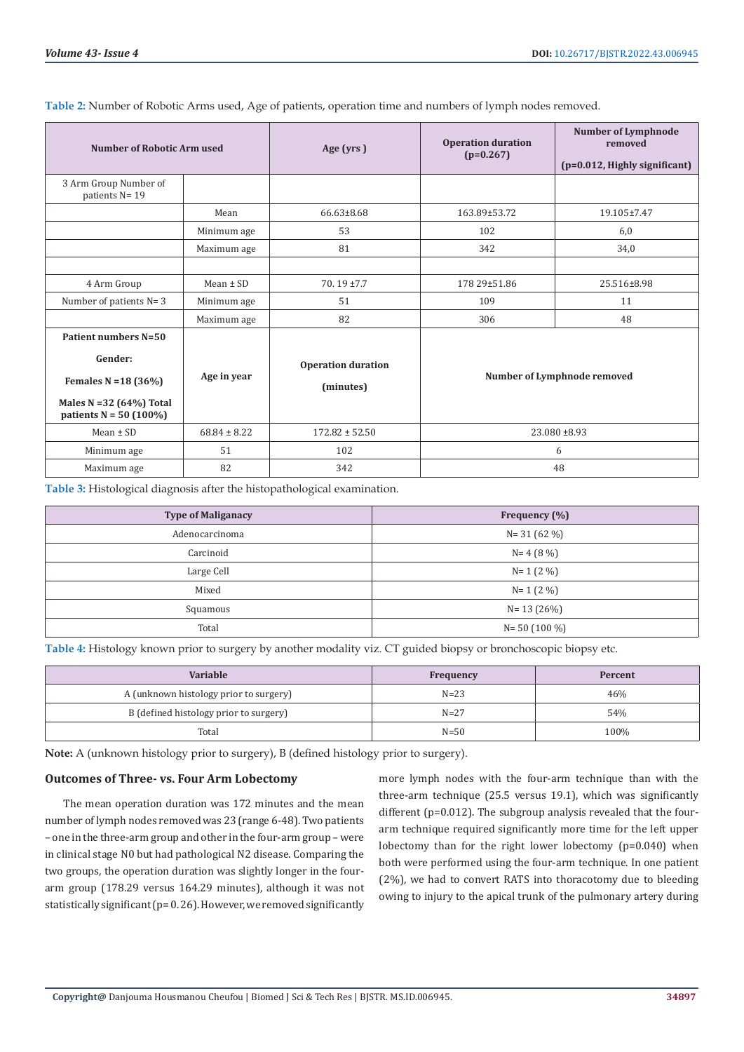**Table 2:** Number of Robotic Arms used, Age of patients, operation time and numbers of lymph nodes removed.

| <b>Number of Robotic Arm used</b>                                                                                  |                  | Age (yrs)                              | <b>Operation duration</b><br>$(p=0.267)$ | <b>Number of Lymphnode</b><br>removed<br>(p=0.012, Highly significant) |
|--------------------------------------------------------------------------------------------------------------------|------------------|----------------------------------------|------------------------------------------|------------------------------------------------------------------------|
| 3 Arm Group Number of<br>patients N= 19                                                                            |                  |                                        |                                          |                                                                        |
|                                                                                                                    | Mean             | 66.63±8.68                             | 163.89±53.72                             | 19.105±7.47                                                            |
|                                                                                                                    | Minimum age      | 53                                     | 102                                      | 6,0                                                                    |
|                                                                                                                    | Maximum age      | 81                                     | 342                                      | 34,0                                                                   |
|                                                                                                                    |                  |                                        |                                          |                                                                        |
| 4 Arm Group                                                                                                        | $Mean \pm SD$    | $70.19 \pm 7.7$                        | 178 29±51.86                             | 25.516±8.98                                                            |
| Number of patients $N=3$                                                                                           | Minimum age      | 51                                     | 109                                      | 11                                                                     |
|                                                                                                                    | Maximum age      | 82                                     | 306                                      | 48                                                                     |
| Patient numbers N=50<br>Gender:<br>Females $N = 18(36%)$<br>Males N = $32(64%)$ Total<br>patients $N = 50 (100\%)$ | Age in year      | <b>Operation duration</b><br>(minutes) | Number of Lymphnode removed              |                                                                        |
| $Mean \pm SD$                                                                                                      | $68.84 \pm 8.22$ | $172.82 \pm 52.50$                     | 23.080 ±8.93                             |                                                                        |
| Minimum age                                                                                                        | 51               | 102                                    | 6                                        |                                                                        |
| Maximum age                                                                                                        | 82               | 342                                    | 48                                       |                                                                        |

**Table 3:** Histological diagnosis after the histopathological examination.

| <b>Type of Maliganacy</b> | Frequency (%)   |  |
|---------------------------|-----------------|--|
| Adenocarcinoma            | $N = 31(62%)$   |  |
| Carcinoid                 | $N = 4(8\%)$    |  |
| Large Cell                | $N = 1 (2 \%)$  |  |
| Mixed                     | $N = 1 (2 \%)$  |  |
| Squamous                  | $N = 13(26%)$   |  |
| Total                     | $N = 50(100\%)$ |  |

**Table 4:** Histology known prior to surgery by another modality viz. CT guided biopsy or bronchoscopic biopsy etc.

| Variable                               | Frequency | Percent |
|----------------------------------------|-----------|---------|
| A (unknown histology prior to surgery) | $N=23$    | 46%     |
| B (defined histology prior to surgery) | $N = 27$  | 54%     |
| Total                                  | $N=50$    | 100%    |

**Note:** A (unknown histology prior to surgery), B (defined histology prior to surgery).

### **Outcomes of Three- vs. Four Arm Lobectomy**

The mean operation duration was 172 minutes and the mean number of lymph nodes removed was 23 (range 6-48). Two patients – one in the three-arm group and other in the four-arm group – were in clinical stage N0 but had pathological N2 disease. Comparing the two groups, the operation duration was slightly longer in the fourarm group (178.29 versus 164.29 minutes), although it was not statistically significant (p= 0. 26). However, we removed significantly

more lymph nodes with the four-arm technique than with the three-arm technique (25.5 versus 19.1), which was significantly different (p=0.012). The subgroup analysis revealed that the fourarm technique required significantly more time for the left upper lobectomy than for the right lower lobectomy (p=0.040) when both were performed using the four-arm technique. In one patient (2%), we had to convert RATS into thoracotomy due to bleeding owing to injury to the apical trunk of the pulmonary artery during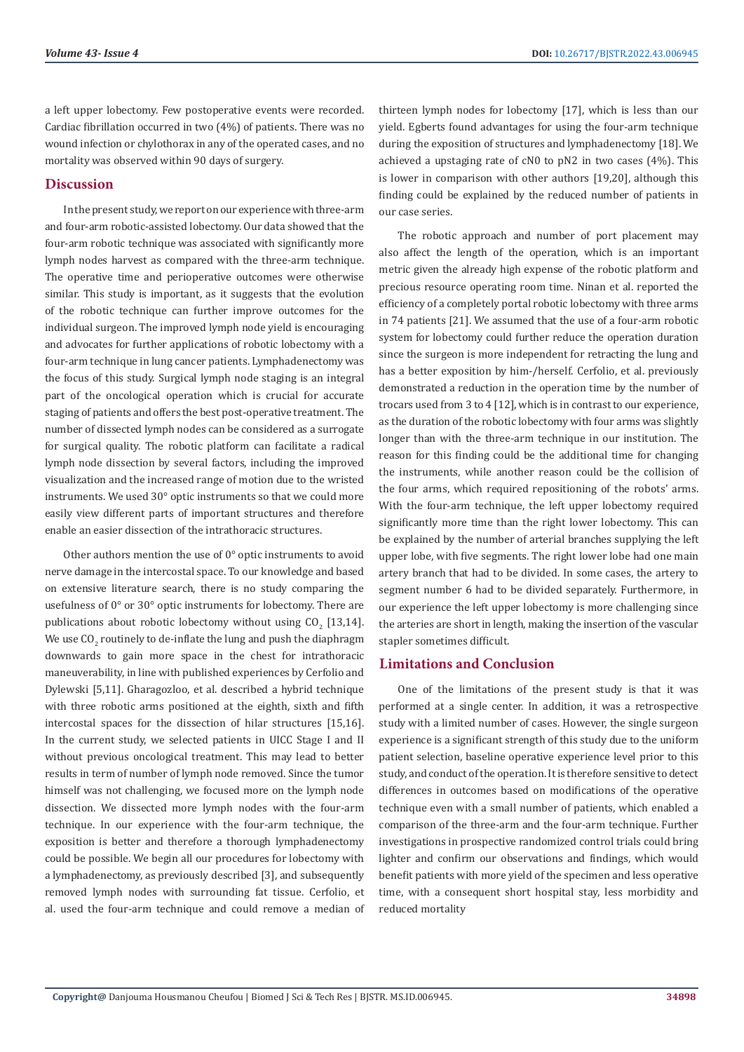a left upper lobectomy. Few postoperative events were recorded. Cardiac fibrillation occurred in two (4%) of patients. There was no wound infection or chylothorax in any of the operated cases, and no mortality was observed within 90 days of surgery.

### **Discussion**

In the present study, we report on our experience with three-arm and four-arm robotic-assisted lobectomy. Our data showed that the four-arm robotic technique was associated with significantly more lymph nodes harvest as compared with the three-arm technique. The operative time and perioperative outcomes were otherwise similar. This study is important, as it suggests that the evolution of the robotic technique can further improve outcomes for the individual surgeon. The improved lymph node yield is encouraging and advocates for further applications of robotic lobectomy with a four-arm technique in lung cancer patients. Lymphadenectomy was the focus of this study. Surgical lymph node staging is an integral part of the oncological operation which is crucial for accurate staging of patients and offers the best post-operative treatment. The number of dissected lymph nodes can be considered as a surrogate for surgical quality. The robotic platform can facilitate a radical lymph node dissection by several factors, including the improved visualization and the increased range of motion due to the wristed instruments. We used 30° optic instruments so that we could more easily view different parts of important structures and therefore enable an easier dissection of the intrathoracic structures.

Other authors mention the use of 0° optic instruments to avoid nerve damage in the intercostal space. To our knowledge and based on extensive literature search, there is no study comparing the usefulness of 0° or 30° optic instruments for lobectomy. There are publications about robotic lobectomy without using  $CO_2$  [13,14]. We use  $\mathsf{CO}_2$  routinely to de-inflate the lung and push the diaphragm downwards to gain more space in the chest for intrathoracic maneuverability, in line with published experiences by Cerfolio and Dylewski [5,11]. Gharagozloo, et al. described a hybrid technique with three robotic arms positioned at the eighth, sixth and fifth intercostal spaces for the dissection of hilar structures [15,16]. In the current study, we selected patients in UICC Stage I and II without previous oncological treatment. This may lead to better results in term of number of lymph node removed. Since the tumor himself was not challenging, we focused more on the lymph node dissection. We dissected more lymph nodes with the four-arm technique. In our experience with the four-arm technique, the exposition is better and therefore a thorough lymphadenectomy could be possible. We begin all our procedures for lobectomy with a lymphadenectomy, as previously described [3], and subsequently removed lymph nodes with surrounding fat tissue. Cerfolio, et al. used the four-arm technique and could remove a median of thirteen lymph nodes for lobectomy [17], which is less than our yield. Egberts found advantages for using the four-arm technique during the exposition of structures and lymphadenectomy [18]. We achieved a upstaging rate of cN0 to pN2 in two cases (4%). This is lower in comparison with other authors [19,20], although this finding could be explained by the reduced number of patients in our case series.

The robotic approach and number of port placement may also affect the length of the operation, which is an important metric given the already high expense of the robotic platform and precious resource operating room time. Ninan et al. reported the efficiency of a completely portal robotic lobectomy with three arms in 74 patients [21]. We assumed that the use of a four-arm robotic system for lobectomy could further reduce the operation duration since the surgeon is more independent for retracting the lung and has a better exposition by him-/herself. Cerfolio, et al. previously demonstrated a reduction in the operation time by the number of trocars used from 3 to 4 [12], which is in contrast to our experience, as the duration of the robotic lobectomy with four arms was slightly longer than with the three-arm technique in our institution. The reason for this finding could be the additional time for changing the instruments, while another reason could be the collision of the four arms, which required repositioning of the robots' arms. With the four-arm technique, the left upper lobectomy required significantly more time than the right lower lobectomy. This can be explained by the number of arterial branches supplying the left upper lobe, with five segments. The right lower lobe had one main artery branch that had to be divided. In some cases, the artery to segment number 6 had to be divided separately. Furthermore, in our experience the left upper lobectomy is more challenging since the arteries are short in length, making the insertion of the vascular stapler sometimes difficult.

### **Limitations and Conclusion**

One of the limitations of the present study is that it was performed at a single center. In addition, it was a retrospective study with a limited number of cases. However, the single surgeon experience is a significant strength of this study due to the uniform patient selection, baseline operative experience level prior to this study, and conduct of the operation. It is therefore sensitive to detect differences in outcomes based on modifications of the operative technique even with a small number of patients, which enabled a comparison of the three-arm and the four-arm technique. Further investigations in prospective randomized control trials could bring lighter and confirm our observations and findings, which would benefit patients with more yield of the specimen and less operative time, with a consequent short hospital stay, less morbidity and reduced mortality